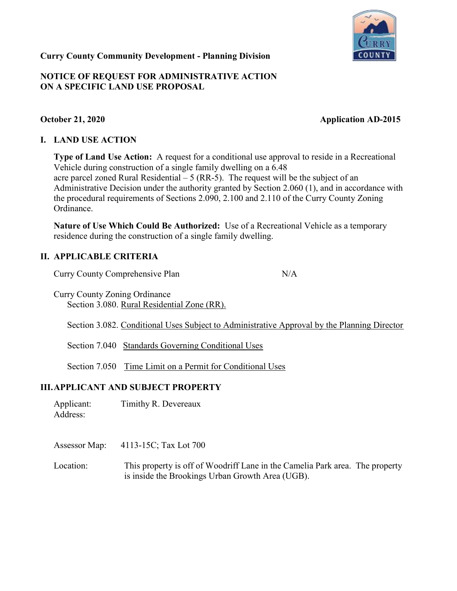

#### Curry County Community Development - Planning Division

#### NOTICE OF REQUEST FOR ADMINISTRATIVE ACTION ON A SPECIFIC LAND USE PROPOSAL

# October 21, 2020 Application AD-2015

# I. LAND USE ACTION

Type of Land Use Action: A request for a conditional use approval to reside in a Recreational Vehicle during construction of a single family dwelling on a 6.48 acre parcel zoned Rural Residential  $-5$  (RR-5). The request will be the subject of an Administrative Decision under the authority granted by Section 2.060 (1), and in accordance with the procedural requirements of Sections 2.090, 2.100 and 2.110 of the Curry County Zoning Ordinance.

Nature of Use Which Could Be Authorized: Use of a Recreational Vehicle as a temporary residence during the construction of a single family dwelling.

# II. APPLICABLE CRITERIA

Curry County Comprehensive Plan N/A

Curry County Zoning Ordinance Section 3.080. Rural Residential Zone (RR).

Section 3.082. Conditional Uses Subject to Administrative Approval by the Planning Director

Section 7.040 Standards Governing Conditional Uses

Section 7.050 Time Limit on a Permit for Conditional Uses

## III.APPLICANT AND SUBJECT PROPERTY

Applicant: Timithy R. Devereaux

Address:

Assessor Map: 4113-15C; Tax Lot 700

Location: This property is off of Woodriff Lane in the Camelia Park area. The property is inside the Brookings Urban Growth Area (UGB).